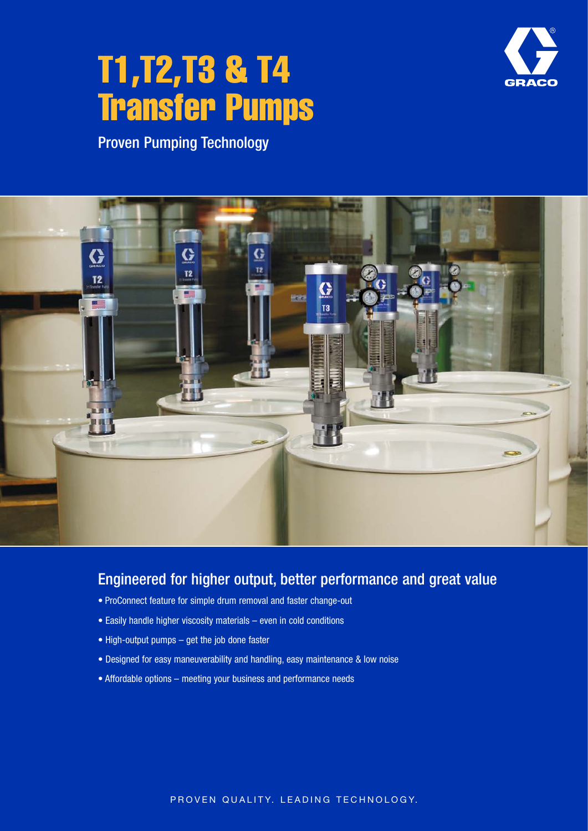# T1,T2,T3 & T4 Transfer Pumps



Proven Pumping Technology



## Engineered for higher output, better performance and great value

- ProConnect feature for simple drum removal and faster change-out
- Easily handle higher viscosity materials even in cold conditions
- High-output pumps get the job done faster
- Designed for easy maneuverability and handling, easy maintenance & low noise
- Affordable options meeting your business and performance needs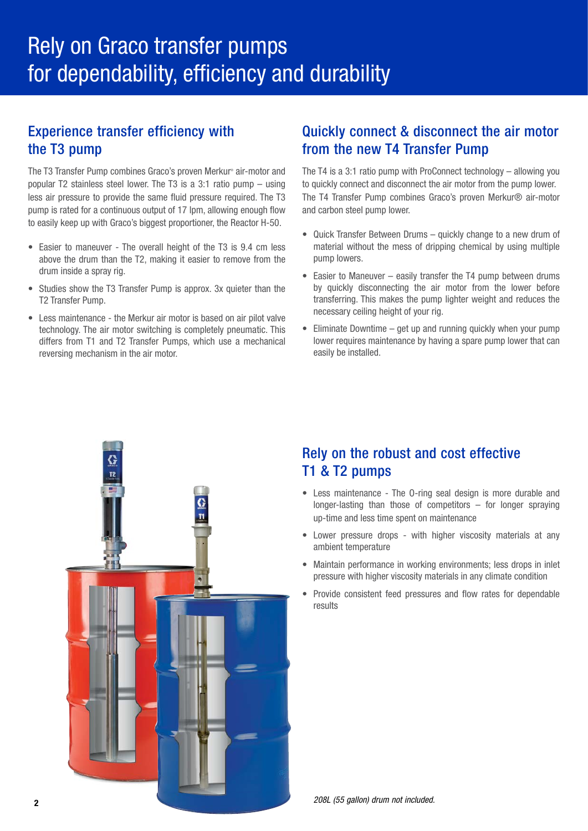## Experience transfer efficiency with the T3 pump

The T3 Transfer Pump combines Graco's proven Merkur® air-motor and popular T2 stainless steel lower. The T3 is a 3:1 ratio pump – using less air pressure to provide the same fluid pressure required. The T3 pump is rated for a continuous output of 17 lpm, allowing enough flow to easily keep up with Graco's biggest proportioner, the Reactor H-50.

- Easier to maneuver The overall height of the T3 is 9.4 cm less above the drum than the T2, making it easier to remove from the drum inside a spray rig.
- Studies show the T3 Transfer Pump is approx. 3x quieter than the T2 Transfer Pump.
- Less maintenance the Merkur air motor is based on air pilot valve technology. The air motor switching is completely pneumatic. This differs from T1 and T2 Transfer Pumps, which use a mechanical reversing mechanism in the air motor.

## Quickly connect & disconnect the air motor from the new T4 Transfer Pump

The T4 is a 3:1 ratio pump with ProConnect technology – allowing you to quickly connect and disconnect the air motor from the pump lower. The T4 Transfer Pump combines Graco's proven Merkur® air-motor and carbon steel pump lower.

- Quick Transfer Between Drums quickly change to a new drum of material without the mess of dripping chemical by using multiple pump lowers.
- Easier to Maneuver easily transfer the T4 pump between drums by quickly disconnecting the air motor from the lower before transferring. This makes the pump lighter weight and reduces the necessary ceiling height of your rig.
- Eliminate Downtime get up and running quickly when your pump lower requires maintenance by having a spare pump lower that can easily be installed.



## Rely on the robust and cost effective T1 & T2 pumps

- Less maintenance The O-ring seal design is more durable and longer-lasting than those of competitors – for longer spraying up-time and less time spent on maintenance
- Lower pressure drops with higher viscosity materials at any ambient temperature
- Maintain performance in working environments; less drops in inlet pressure with higher viscosity materials in any climate condition
- Provide consistent feed pressures and flow rates for dependable results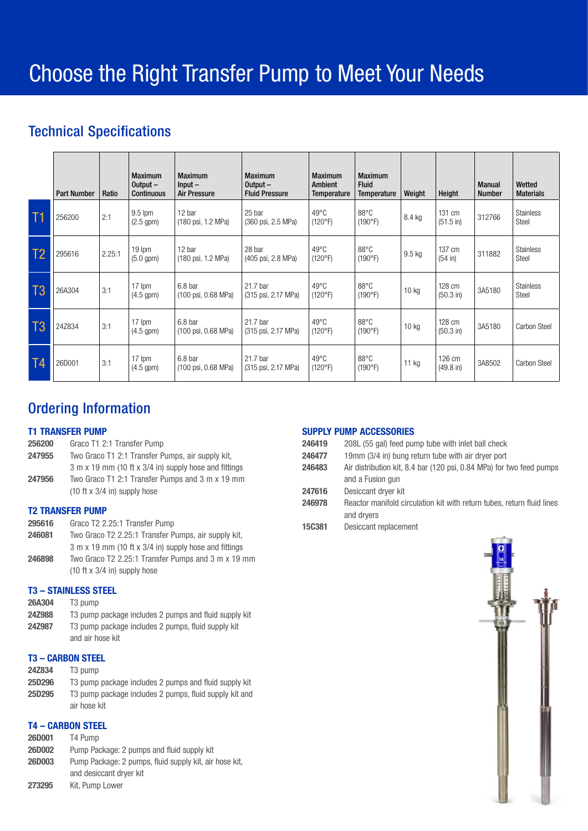## Technical Specifications

|                 | <b>Part Number</b> | Ratio  | <b>Maximum</b><br>Output $-$<br>Continuous | <b>Maximum</b><br>$Input -$<br><b>Air Pressure</b> | <b>Maximum</b><br>Output $-$<br><b>Fluid Pressure</b> | <b>Maximum</b><br>Ambient<br><b>Temperature</b> | <b>Maximum</b><br><b>Fluid</b><br>Temperature | Weight           | Height                        | <b>Manual</b><br><b>Number</b> | Wetted<br><b>Materials</b> |
|-----------------|--------------------|--------|--------------------------------------------|----------------------------------------------------|-------------------------------------------------------|-------------------------------------------------|-----------------------------------------------|------------------|-------------------------------|--------------------------------|----------------------------|
| T1              | 256200             | 2:1    | $9.5$ lpm<br>$(2.5$ gpm $)$                | 12 bar<br>(180 psi, 1.2 MPa)                       | 25 bar<br>(360 psi, 2.5 MPa)                          | $49^{\circ}$ C<br>(120°F)                       | 88°C<br>(190°F)                               | 8.4 kg           | 131 cm<br>$(51.5 \text{ in})$ | 312766                         | <b>Stainless</b><br>Steel  |
| $\overline{1}2$ | 295616             | 2.25:1 | $19 \text{ lpm}$<br>$(5.0$ gpm $)$         | 12 bar<br>(180 psi, 1.2 MPa)                       | 28 bar<br>(405 psi, 2.8 MPa)                          | $49^{\circ}$ C<br>(120°F)                       | $88^{\circ}$ C<br>(190°F)                     | 9.5 kg           | 137 cm<br>(54 in)             | 311882                         | <b>Stainless</b><br>Steel  |
| T3              | 26A304             | 3:1    | 17 lpm<br>$(4.5$ gpm $)$                   | 6.8 <sub>bar</sub><br>(100 psi, 0.68 MPa)          | 21.7 bar<br>(315 psi, 2.17 MPa)                       | $49^{\circ}$ C<br>(120°F)                       | $88^{\circ}$ C<br>(190°F)                     | 10 <sub>kg</sub> | 128 cm<br>$(50.3 \text{ in})$ | 3A5180                         | <b>Stainless</b><br>Steel  |
| T3              | 24Z834             | 3:1    | 17 lpm<br>$(4.5$ gpm $)$                   | 6.8 bar<br>(100 psi, 0.68 MPa)                     | 21.7 bar<br>(315 psi, 2.17 MPa)                       | $49^{\circ}$ C<br>(120°F)                       | $88^{\circ}$ C<br>(190°F)                     | 10 <sub>kg</sub> | 128 cm<br>(50.3 in)           | 3A5180                         | Carbon Steel               |
| T4              | 26D001             | 3:1    | 17 lpm<br>$(4.5$ gpm $)$                   | 6.8 bar<br>(100 psi, 0.68 MPa)                     | 21.7 bar<br>(315 psi, 2.17 MPa)                       | $49^{\circ}$ C<br>(120°F)                       | $88^{\circ}$ C<br>(190°F)                     | 11 kg            | 126 cm<br>$(49.8 \text{ in})$ | 3A8502                         | Carbon Steel               |

## Ordering Information

#### T1 TRANSFER PUMP

| 256200 | Graco T1 2:1 Transfer Pump                            |
|--------|-------------------------------------------------------|
| 247955 | Two Graco T1 2:1 Transfer Pumps, air supply kit,      |
|        | 3 m x 19 mm (10 ft x 3/4 in) supply hose and fittings |
| 247956 | Two Graco T1 2:1 Transfer Pumps and 3 m x 19 mm       |
|        | $(10 \text{ ft} \times 3/4 \text{ in})$ supply hose   |

#### T2 TRANSFER PUMP

| 295616 | Graco T2 2.25:1 Transfer Pump                         |
|--------|-------------------------------------------------------|
| 246081 | Two Graco T2 2.25:1 Transfer Pumps, air supply kit,   |
|        | 3 m x 19 mm (10 ft x 3/4 in) supply hose and fittings |
| 246898 | Two Graco T2 2.25:1 Transfer Pumps and 3 m x 19 mm    |
|        | $(10 \text{ ft} \times 3/4 \text{ in})$ supply hose   |

#### T3 – STAINLESS STEEL

| <b>26A304</b> | T3 pump |  |
|---------------|---------|--|
|               |         |  |

24Z988 T3 pump package includes 2 pumps and fluid supply kit 24Z987 T3 pump package includes 2 pumps, fluid supply kit and air hose kit

#### T3 – CARBON STEEL

| <b>24Z834</b> | T <sub>3</sub> pump |
|---------------|---------------------|
|               |                     |

| T3 pump package includes 2 pumps and fluid supply kit  |
|--------------------------------------------------------|
| T3 pump package includes 2 pumps, fluid supply kit and |
| air hose kit                                           |
|                                                        |

### T4 – CARBON STEEL

| <b>26D001</b> | T4 Pump                                                |
|---------------|--------------------------------------------------------|
| <b>26D002</b> | Pump Package: 2 pumps and fluid supply kit             |
| <b>26D003</b> | Pump Package: 2 pumps, fluid supply kit, air hose kit, |
|               | and desiccant drver kit                                |
| 273295        | Kit, Pump Lower                                        |

#### SUPPLY PUMP ACCESSORIES

| 246419        | 208L (55 gal) feed pump tube with inlet ball check                     |
|---------------|------------------------------------------------------------------------|
| 246477        | 19mm (3/4 in) bung return tube with air dryer port                     |
| 246483        | Air distribution kit, 8.4 bar (120 psi, 0.84 MPa) for two feed pumps   |
|               | and a Fusion gun                                                       |
| 247616        | Desiccant dryer kit                                                    |
| 246978        | Reactor manifold circulation kit with return tubes, return fluid lines |
|               | and dryers                                                             |
| <b>15C381</b> | Desiccant replacement                                                  |